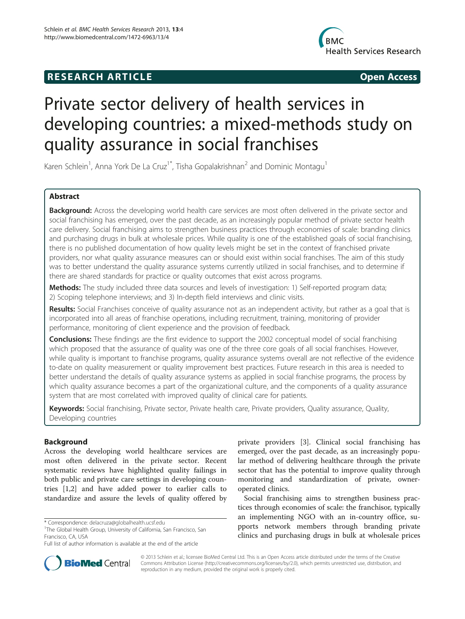# **RESEARCH ARTICLE Example 2018 12:00 Open Access**



# Private sector delivery of health services in developing countries: a mixed-methods study on quality assurance in social franchises

Karen Schlein<sup>1</sup>, Anna York De La Cruz<sup>1\*</sup>, Tisha Gopalakrishnan<sup>2</sup> and Dominic Montagu<sup>1</sup>

# Abstract

Background: Across the developing world health care services are most often delivered in the private sector and social franchising has emerged, over the past decade, as an increasingly popular method of private sector health care delivery. Social franchising aims to strengthen business practices through economies of scale: branding clinics and purchasing drugs in bulk at wholesale prices. While quality is one of the established goals of social franchising, there is no published documentation of how quality levels might be set in the context of franchised private providers, nor what quality assurance measures can or should exist within social franchises. The aim of this study was to better understand the quality assurance systems currently utilized in social franchises, and to determine if there are shared standards for practice or quality outcomes that exist across programs.

**Methods:** The study included three data sources and levels of investigation: 1) Self-reported program data; 2) Scoping telephone interviews; and 3) In-depth field interviews and clinic visits.

Results: Social Franchises conceive of quality assurance not as an independent activity, but rather as a goal that is incorporated into all areas of franchise operations, including recruitment, training, monitoring of provider performance, monitoring of client experience and the provision of feedback.

**Conclusions:** These findings are the first evidence to support the 2002 conceptual model of social franchising which proposed that the assurance of quality was one of the three core goals of all social franchises. However, while quality is important to franchise programs, quality assurance systems overall are not reflective of the evidence to-date on quality measurement or quality improvement best practices. Future research in this area is needed to better understand the details of quality assurance systems as applied in social franchise programs, the process by which quality assurance becomes a part of the organizational culture, and the components of a quality assurance system that are most correlated with improved quality of clinical care for patients.

Keywords: Social franchising, Private sector, Private health care, Private providers, Quality assurance, Quality, Developing countries

# Background

Across the developing world healthcare services are most often delivered in the private sector. Recent systematic reviews have highlighted quality failings in both public and private care settings in developing countries [[1](#page-10-0),[2\]](#page-10-0) and have added power to earlier calls to standardize and assure the levels of quality offered by

private providers [[3\]](#page-10-0). Clinical social franchising has emerged, over the past decade, as an increasingly popular method of delivering healthcare through the private sector that has the potential to improve quality through monitoring and standardization of private, owneroperated clinics.

Social franchising aims to strengthen business practices through economies of scale: the franchisor, typically an implementing NGO with an in-country office, supports network members through branding private clinics and purchasing drugs in bulk at wholesale prices



© 2013 Schlein et al.; licensee BioMed Central Ltd. This is an Open Access article distributed under the terms of the Creative Commons Attribution License [\(http://creativecommons.org/licenses/by/2.0\)](http://creativecommons.org/licenses/by/2.0), which permits unrestricted use, distribution, and reproduction in any medium, provided the original work is properly cited.

<sup>\*</sup> Correspondence: [delacruza@globalhealth.ucsf.edu](mailto:delacruza@globalhealth.ucsf.edu) <sup>1</sup>

<sup>&</sup>lt;sup>1</sup>The Global Health Group, University of California, San Francisco, San Francisco, CA, USA

Full list of author information is available at the end of the article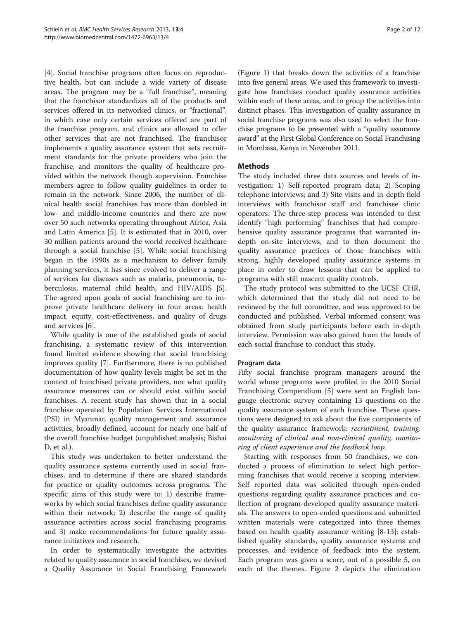[[4\]](#page-10-0). Social franchise programs often focus on reproductive health, but can include a wide variety of disease areas. The program may be a "full franchise", meaning that the franchisor standardizes all of the products and services offered in its networked clinics, or "fractional", in which case only certain services offered are part of the franchise program, and clinics are allowed to offer other services that are not franchised. The franchisor implements a quality assurance system that sets recruitment standards for the private providers who join the franchise, and monitors the quality of healthcare provided within the network though supervision. Franchise members agree to follow quality guidelines in order to remain in the network. Since 2006, the number of clinical health social franchises has more than doubled in low- and middle-income countries and there are now over 50 such networks operating throughout Africa, Asia and Latin America [[5\]](#page-10-0). It is estimated that in 2010, over 30 million patients around the world received healthcare through a social franchise [\[5](#page-10-0)]. While social franchising began in the 1990s as a mechanism to deliver family planning services, it has since evolved to deliver a range of services for diseases such as malaria, pneumonia, tuberculosis, maternal child health, and HIV/AIDS [\[5](#page-10-0)]. The agreed upon goals of social franchising are to improve private healthcare delivery in four areas: health impact, equity, cost-effectiveness, and quality of drugs and services [[6](#page-10-0)].

While quality is one of the established goals of social franchising, a systematic review of this intervention found limited evidence showing that social franchising improves quality [[7\]](#page-10-0). Furthermore, there is no published documentation of how quality levels might be set in the context of franchised private providers, nor what quality assurance measures can or should exist within social franchises. A recent study has shown that in a social franchise operated by Population Services International (PSI) in Myanmar, quality management and assurance activities, broadly defined, account for nearly one-half of the overall franchise budget (unpublished analysis; Bishai D, et al.).

This study was undertaken to better understand the quality assurance systems currently used in social franchises, and to determine if there are shared standards for practice or quality outcomes across programs. The specific aims of this study were to: 1) describe frameworks by which social franchises define quality assurance within their network; 2) describe the range of quality assurance activities across social franchising programs; and 3) make recommendations for future quality assurance initiatives and research.

In order to systematically investigate the activities related to quality assurance in social franchises, we devised a Quality Assurance in Social Franchising Framework (Figure [1](#page-2-0)) that breaks down the activities of a franchise into five general areas. We used this framework to investigate how franchises conduct quality assurance activities within each of these areas, and to group the activities into distinct phases. This investigation of quality assurance in social franchise programs was also used to select the franchise programs to be presented with a "quality assurance award" at the First Global Conference on Social Franchising in Mombasa, Kenya in November 2011.

# Methods

The study included three data sources and levels of investigation: 1) Self-reported program data; 2) Scoping telephone interviews; and 3) Site visits and in-depth field interviews with franchisor staff and franchisee clinic operators. The three-step process was intended to first identify "high performing" franchises that had comprehensive quality assurance programs that warranted indepth on-site interviews, and to then document the quality assurance practices of those franchises with strong, highly developed quality assurance systems in place in order to draw lessons that can be applied to programs with still nascent quality controls.

The study protocol was submitted to the UCSF CHR, which determined that the study did not need to be reviewed by the full committee, and was approved to be conducted and published. Verbal informed consent was obtained from study participants before each in-depth interview. Permission was also gained from the heads of each social franchise to conduct this study.

# Program data

Fifty social franchise program managers around the world whose programs were profiled in the 2010 Social Franchising Compendium [\[5](#page-10-0)] were sent an English language electronic survey containing 13 questions on the quality assurance system of each franchise. These questions were designed to ask about the five components of the quality assurance framework: recruitment, training, monitoring of clinical and non-clinical quality, monitoring of client experience and the feedback loop.

Starting with responses from 50 franchises, we conducted a process of elimination to select high performing franchises that would receive a scoping interview. Self reported data was solicited through open-ended questions regarding quality assurance practices and collection of program-developed quality assurance materials. The answers to open-ended questions and submitted written materials were categorized into three themes based on health quality assurance writing [[8-13\]](#page-10-0): established quality standards, quality assurance systems and processes, and evidence of feedback into the system. Each program was given a score, out of a possible 5, on each of the themes. Figure [2](#page-3-0) depicts the elimination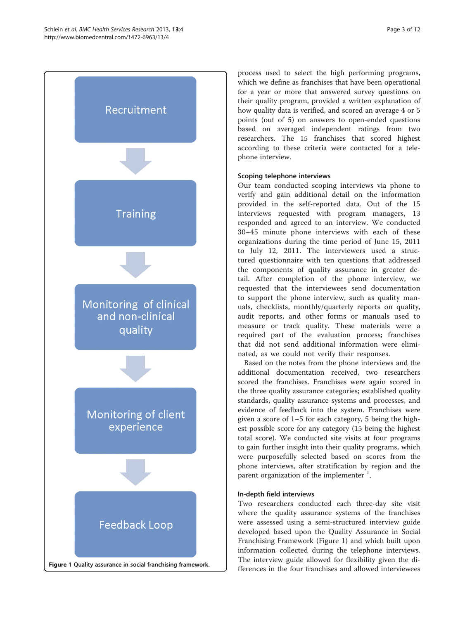<span id="page-2-0"></span>

process used to select the high performing programs, which we define as franchises that have been operational for a year or more that answered survey questions on their quality program, provided a written explanation of how quality data is verified, and scored an average 4 or 5 points (out of 5) on answers to open-ended questions based on averaged independent ratings from two researchers. The 15 franchises that scored highest according to these criteria were contacted for a telephone interview.

# Scoping telephone interviews

Our team conducted scoping interviews via phone to verify and gain additional detail on the information provided in the self-reported data. Out of the 15 interviews requested with program managers, 13 responded and agreed to an interview. We conducted 30–45 minute phone interviews with each of these organizations during the time period of June 15, 2011 to July 12, 2011. The interviewers used a structured questionnaire with ten questions that addressed the components of quality assurance in greater detail. After completion of the phone interview, we requested that the interviewees send documentation to support the phone interview, such as quality manuals, checklists, monthly/quarterly reports on quality, audit reports, and other forms or manuals used to measure or track quality. These materials were a required part of the evaluation process; franchises that did not send additional information were eliminated, as we could not verify their responses.

Based on the notes from the phone interviews and the additional documentation received, two researchers scored the franchises. Franchises were again scored in the three quality assurance categories; established quality standards, quality assurance systems and processes, and evidence of feedback into the system. Franchises were given a score of 1–5 for each category, 5 being the highest possible score for any category (15 being the highest total score). We conducted site visits at four programs to gain further insight into their quality programs, which were purposefully selected based on scores from the phone interviews, after stratification by region and the parent organization of the implementer<sup>1</sup>.

#### In-depth field interviews

Two researchers conducted each three-day site visit where the quality assurance systems of the franchises were assessed using a semi-structured interview guide developed based upon the Quality Assurance in Social Franchising Framework (Figure 1) and which built upon information collected during the telephone interviews. The interview guide allowed for flexibility given the di-Figure 1 Quality assurance in social franchising framework.<br>
fferences in the four franchises and allowed interviewees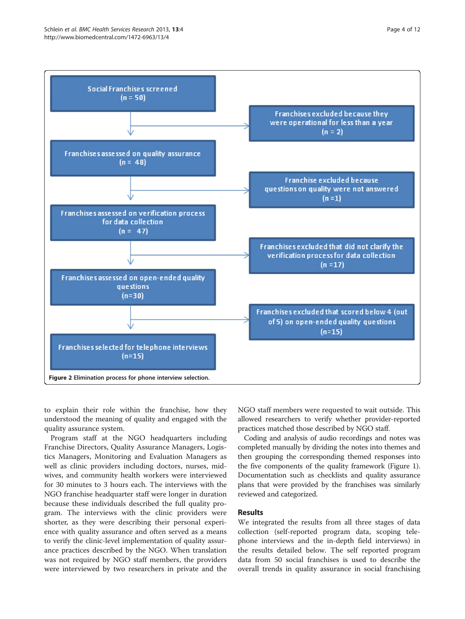<span id="page-3-0"></span>

to explain their role within the franchise, how they understood the meaning of quality and engaged with the quality assurance system.

Program staff at the NGO headquarters including Franchise Directors, Quality Assurance Managers, Logistics Managers, Monitoring and Evaluation Managers as well as clinic providers including doctors, nurses, midwives, and community health workers were interviewed for 30 minutes to 3 hours each. The interviews with the NGO franchise headquarter staff were longer in duration because these individuals described the full quality program. The interviews with the clinic providers were shorter, as they were describing their personal experience with quality assurance and often served as a means to verify the clinic-level implementation of quality assurance practices described by the NGO. When translation was not required by NGO staff members, the providers were interviewed by two researchers in private and the NGO staff members were requested to wait outside. This allowed researchers to verify whether provider-reported practices matched those described by NGO staff.

Coding and analysis of audio recordings and notes was completed manually by dividing the notes into themes and then grouping the corresponding themed responses into the five components of the quality framework (Figure [1](#page-2-0)). Documentation such as checklists and quality assurance plans that were provided by the franchises was similarly reviewed and categorized.

#### Results

We integrated the results from all three stages of data collection (self-reported program data, scoping telephone interviews and the in-depth field interviews) in the results detailed below. The self reported program data from 50 social franchises is used to describe the overall trends in quality assurance in social franchising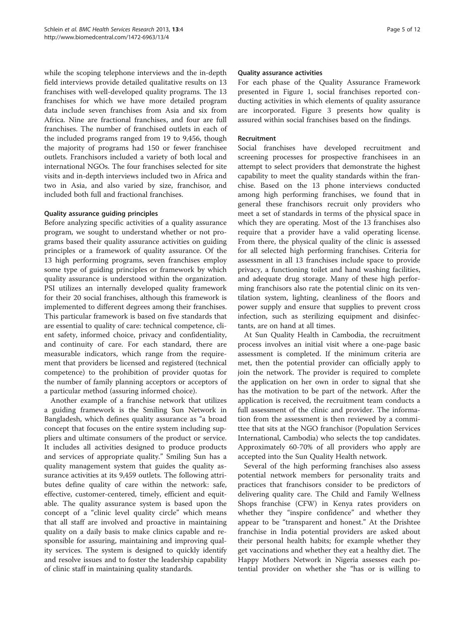while the scoping telephone interviews and the in-depth field interviews provide detailed qualitative results on 13 franchises with well-developed quality programs. The 13 franchises for which we have more detailed program data include seven franchises from Asia and six from Africa. Nine are fractional franchises, and four are full franchises. The number of franchised outlets in each of the included programs ranged from 19 to 9,456, though the majority of programs had 150 or fewer franchisee outlets. Franchisors included a variety of both local and international NGOs. The four franchises selected for site visits and in-depth interviews included two in Africa and two in Asia, and also varied by size, franchisor, and included both full and fractional franchises.

## Quality assurance guiding principles

Before analyzing specific activities of a quality assurance program, we sought to understand whether or not programs based their quality assurance activities on guiding principles or a framework of quality assurance. Of the 13 high performing programs, seven franchises employ some type of guiding principles or framework by which quality assurance is understood within the organization. PSI utilizes an internally developed quality framework for their 20 social franchises, although this framework is implemented to different degrees among their franchises. This particular framework is based on five standards that are essential to quality of care: technical competence, client safety, informed choice, privacy and confidentiality, and continuity of care. For each standard, there are measurable indicators, which range from the requirement that providers be licensed and registered (technical competence) to the prohibition of provider quotas for the number of family planning acceptors or acceptors of a particular method (assuring informed choice).

Another example of a franchise network that utilizes a guiding framework is the Smiling Sun Network in Bangladesh, which defines quality assurance as "a broad concept that focuses on the entire system including suppliers and ultimate consumers of the product or service. It includes all activities designed to produce products and services of appropriate quality." Smiling Sun has a quality management system that guides the quality assurance activities at its 9,459 outlets. The following attributes define quality of care within the network: safe, effective, customer-centered, timely, efficient and equitable. The quality assurance system is based upon the concept of a "clinic level quality circle" which means that all staff are involved and proactive in maintaining quality on a daily basis to make clinics capable and responsible for assuring, maintaining and improving quality services. The system is designed to quickly identify and resolve issues and to foster the leadership capability of clinic staff in maintaining quality standards.

#### Quality assurance activities

For each phase of the Quality Assurance Framework presented in Figure [1,](#page-2-0) social franchises reported conducting activities in which elements of quality assurance are incorporated. Figure [3](#page-5-0) presents how quality is assured within social franchises based on the findings.

#### Recruitment

Social franchises have developed recruitment and screening processes for prospective franchisees in an attempt to select providers that demonstrate the highest capability to meet the quality standards within the franchise. Based on the 13 phone interviews conducted among high performing franchises, we found that in general these franchisors recruit only providers who meet a set of standards in terms of the physical space in which they are operating. Most of the 13 franchises also require that a provider have a valid operating license. From there, the physical quality of the clinic is assessed for all selected high performing franchises. Criteria for assessment in all 13 franchises include space to provide privacy, a functioning toilet and hand washing facilities, and adequate drug storage. Many of these high performing franchisors also rate the potential clinic on its ventilation system, lighting, cleanliness of the floors and power supply and ensure that supplies to prevent cross infection, such as sterilizing equipment and disinfectants, are on hand at all times.

At Sun Quality Health in Cambodia, the recruitment process involves an initial visit where a one-page basic assessment is completed. If the minimum criteria are met, then the potential provider can officially apply to join the network. The provider is required to complete the application on her own in order to signal that she has the motivation to be part of the network. After the application is received, the recruitment team conducts a full assessment of the clinic and provider. The information from the assessment is then reviewed by a committee that sits at the NGO franchisor (Population Services International, Cambodia) who selects the top candidates. Approximately 60-70% of all providers who apply are accepted into the Sun Quality Health network.

Several of the high performing franchises also assess potential network members for personality traits and practices that franchisors consider to be predictors of delivering quality care. The Child and Family Wellness Shops franchise (CFW) in Kenya rates providers on whether they "inspire confidence" and whether they appear to be "transparent and honest." At the Drishtee franchise in India potential providers are asked about their personal health habits; for example whether they get vaccinations and whether they eat a healthy diet. The Happy Mothers Network in Nigeria assesses each potential provider on whether she "has or is willing to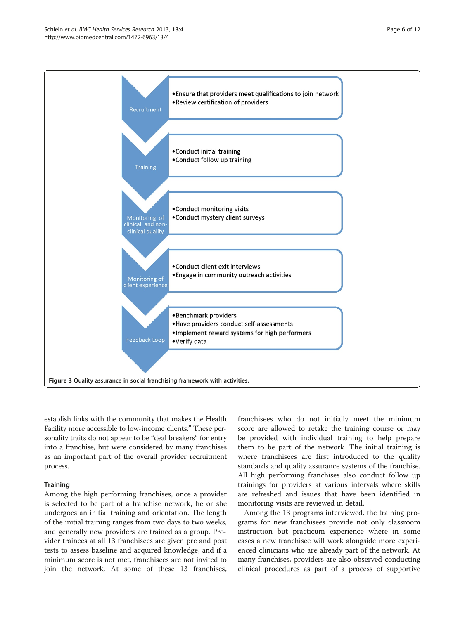<span id="page-5-0"></span>

establish links with the community that makes the Health Facility more accessible to low-income clients." These personality traits do not appear to be "deal breakers" for entry into a franchise, but were considered by many franchises as an important part of the overall provider recruitment process.

#### **Training**

Among the high performing franchises, once a provider is selected to be part of a franchise network, he or she undergoes an initial training and orientation. The length of the initial training ranges from two days to two weeks, and generally new providers are trained as a group. Provider trainees at all 13 franchisees are given pre and post tests to assess baseline and acquired knowledge, and if a minimum score is not met, franchisees are not invited to join the network. At some of these 13 franchises, franchisees who do not initially meet the minimum score are allowed to retake the training course or may be provided with individual training to help prepare them to be part of the network. The initial training is where franchisees are first introduced to the quality standards and quality assurance systems of the franchise. All high performing franchises also conduct follow up trainings for providers at various intervals where skills are refreshed and issues that have been identified in monitoring visits are reviewed in detail.

Among the 13 programs interviewed, the training programs for new franchisees provide not only classroom instruction but practicum experience where in some cases a new franchisee will work alongside more experienced clinicians who are already part of the network. At many franchises, providers are also observed conducting clinical procedures as part of a process of supportive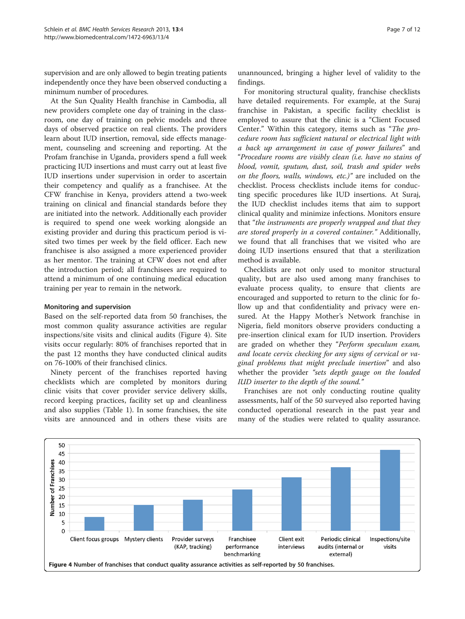supervision and are only allowed to begin treating patients independently once they have been observed conducting a minimum number of procedures.

At the Sun Quality Health franchise in Cambodia, all new providers complete one day of training in the classroom, one day of training on pelvic models and three days of observed practice on real clients. The providers learn about IUD insertion, removal, side effects management, counseling and screening and reporting. At the Profam franchise in Uganda, providers spend a full week practicing IUD insertions and must carry out at least five IUD insertions under supervision in order to ascertain their competency and qualify as a franchisee. At the CFW franchise in Kenya, providers attend a two-week training on clinical and financial standards before they are initiated into the network. Additionally each provider is required to spend one week working alongside an existing provider and during this practicum period is visited two times per week by the field officer. Each new franchisee is also assigned a more experienced provider as her mentor. The training at CFW does not end after the introduction period; all franchisees are required to attend a minimum of one continuing medical education training per year to remain in the network.

#### Monitoring and supervision

Based on the self-reported data from 50 franchises, the most common quality assurance activities are regular inspections/site visits and clinical audits (Figure 4). Site visits occur regularly: 80% of franchises reported that in the past 12 months they have conducted clinical audits on 76-100% of their franchised clinics.

Ninety percent of the franchises reported having checklists which are completed by monitors during clinic visits that cover provider service delivery skills, record keeping practices, facility set up and cleanliness and also supplies (Table [1](#page-7-0)). In some franchises, the site visits are announced and in others these visits are

unannounced, bringing a higher level of validity to the findings.

For monitoring structural quality, franchise checklists have detailed requirements. For example, at the Suraj franchise in Pakistan, a specific facility checklist is employed to assure that the clinic is a "Client Focused Center." Within this category, items such as "The procedure room has sufficient natural or electrical light with a back up arrangement in case of power failures" and "Procedure rooms are visibly clean (i.e. have no stains of blood, vomit, sputum, dust, soil, trash and spider webs on the floors, walls, windows, etc.)" are included on the checklist. Process checklists include items for conducting specific procedures like IUD insertions. At Suraj, the IUD checklist includes items that aim to support clinical quality and minimize infections. Monitors ensure that "the instruments are properly wrapped and that they are stored properly in a covered container." Additionally, we found that all franchises that we visited who are doing IUD insertions ensured that that a sterilization method is available.

Checklists are not only used to monitor structural quality, but are also used among many franchises to evaluate process quality, to ensure that clients are encouraged and supported to return to the clinic for follow up and that confidentiality and privacy were ensured. At the Happy Mother's Network franchise in Nigeria, field monitors observe providers conducting a pre-insertion clinical exam for IUD insertion. Providers are graded on whether they "Perform speculum exam, and locate cervix checking for any signs of cervical or vaginal problems that might preclude insertion" and also whether the provider "sets depth gauge on the loaded IUD inserter to the depth of the sound."

Franchises are not only conducting routine quality assessments, half of the 50 surveyed also reported having conducted operational research in the past year and many of the studies were related to quality assurance.

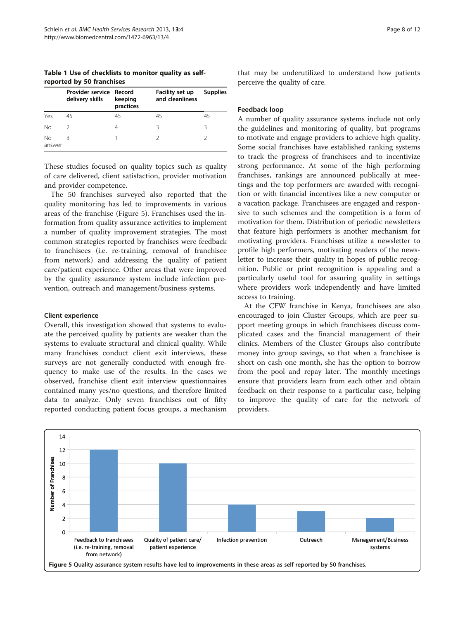<span id="page-7-0"></span>Table 1 Use of checklists to monitor quality as selfreported by 50 franchises

|              | Provider service Record<br>delivery skills | keeping<br>practices | Facility set up<br>and cleanliness | <b>Supplies</b> |
|--------------|--------------------------------------------|----------------------|------------------------------------|-----------------|
| Yes          | 45                                         | 45                   | 45                                 | 45              |
| No           | 2                                          | 4                    | 3                                  | ζ               |
| Nο<br>answer | Β                                          |                      |                                    | 2               |

These studies focused on quality topics such as quality of care delivered, client satisfaction, provider motivation and provider competence.

The 50 franchises surveyed also reported that the quality monitoring has led to improvements in various areas of the franchise (Figure 5). Franchises used the information from quality assurance activities to implement a number of quality improvement strategies. The most common strategies reported by franchises were feedback to franchisees (i.e. re-training, removal of franchisee from network) and addressing the quality of patient care/patient experience. Other areas that were improved by the quality assurance system include infection prevention, outreach and management/business systems.

## Client experience

Overall, this investigation showed that systems to evaluate the perceived quality by patients are weaker than the systems to evaluate structural and clinical quality. While many franchises conduct client exit interviews, these surveys are not generally conducted with enough frequency to make use of the results. In the cases we observed, franchise client exit interview questionnaires contained many yes/no questions, and therefore limited data to analyze. Only seven franchises out of fifty reported conducting patient focus groups, a mechanism that may be underutilized to understand how patients perceive the quality of care.

#### Feedback loop

A number of quality assurance systems include not only the guidelines and monitoring of quality, but programs to motivate and engage providers to achieve high quality. Some social franchises have established ranking systems to track the progress of franchisees and to incentivize strong performance. At some of the high performing franchises, rankings are announced publically at meetings and the top performers are awarded with recognition or with financial incentives like a new computer or a vacation package. Franchisees are engaged and responsive to such schemes and the competition is a form of motivation for them. Distribution of periodic newsletters that feature high performers is another mechanism for motivating providers. Franchises utilize a newsletter to profile high performers, motivating readers of the newsletter to increase their quality in hopes of public recognition. Public or print recognition is appealing and a particularly useful tool for assuring quality in settings where providers work independently and have limited access to training.

At the CFW franchise in Kenya, franchisees are also encouraged to join Cluster Groups, which are peer support meeting groups in which franchisees discuss complicated cases and the financial management of their clinics. Members of the Cluster Groups also contribute money into group savings, so that when a franchisee is short on cash one month, she has the option to borrow from the pool and repay later. The monthly meetings ensure that providers learn from each other and obtain feedback on their response to a particular case, helping to improve the quality of care for the network of providers.

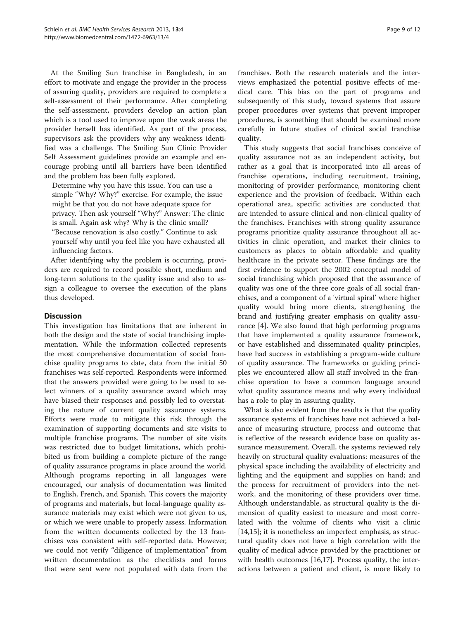At the Smiling Sun franchise in Bangladesh, in an effort to motivate and engage the provider in the process of assuring quality, providers are required to complete a self-assessment of their performance. After completing the self-assessment, providers develop an action plan which is a tool used to improve upon the weak areas the provider herself has identified. As part of the process, supervisors ask the providers why any weakness identified was a challenge. The Smiling Sun Clinic Provider Self Assessment guidelines provide an example and encourage probing until all barriers have been identified and the problem has been fully explored.

Determine why you have this issue. You can use a simple "Why? Why?" exercise. For example, the issue might be that you do not have adequate space for privacy. Then ask yourself "Why?" Answer: The clinic is small. Again ask why? Why is the clinic small? "Because renovation is also costly." Continue to ask yourself why until you feel like you have exhausted all influencing factors.

After identifying why the problem is occurring, providers are required to record possible short, medium and long-term solutions to the quality issue and also to assign a colleague to oversee the execution of the plans thus developed.

# **Discussion**

This investigation has limitations that are inherent in both the design and the state of social franchising implementation. While the information collected represents the most comprehensive documentation of social franchise quality programs to date, data from the initial 50 franchises was self-reported. Respondents were informed that the answers provided were going to be used to select winners of a quality assurance award which may have biased their responses and possibly led to overstating the nature of current quality assurance systems. Efforts were made to mitigate this risk through the examination of supporting documents and site visits to multiple franchise programs. The number of site visits was restricted due to budget limitations, which prohibited us from building a complete picture of the range of quality assurance programs in place around the world. Although programs reporting in all languages were encouraged, our analysis of documentation was limited to English, French, and Spanish. This covers the majority of programs and materials, but local-language quality assurance materials may exist which were not given to us, or which we were unable to properly assess. Information from the written documents collected by the 13 franchises was consistent with self-reported data. However, we could not verify "diligence of implementation" from written documentation as the checklists and forms that were sent were not populated with data from the franchises. Both the research materials and the interviews emphasized the potential positive effects of medical care. This bias on the part of programs and subsequently of this study, toward systems that assure proper procedures over systems that prevent improper procedures, is something that should be examined more carefully in future studies of clinical social franchise quality.

This study suggests that social franchises conceive of quality assurance not as an independent activity, but rather as a goal that is incorporated into all areas of franchise operations, including recruitment, training, monitoring of provider performance, monitoring client experience and the provision of feedback. Within each operational area, specific activities are conducted that are intended to assure clinical and non-clinical quality of the franchises. Franchises with strong quality assurance programs prioritize quality assurance throughout all activities in clinic operation, and market their clinics to customers as places to obtain affordable and quality healthcare in the private sector. These findings are the first evidence to support the 2002 conceptual model of social franchising which proposed that the assurance of quality was one of the three core goals of all social franchises, and a component of a 'virtual spiral' where higher quality would bring more clients, strengthening the brand and justifying greater emphasis on quality assurance [\[4](#page-10-0)]. We also found that high performing programs that have implemented a quality assurance framework, or have established and disseminated quality principles, have had success in establishing a program-wide culture of quality assurance. The frameworks or guiding principles we encountered allow all staff involved in the franchise operation to have a common language around what quality assurance means and why every individual has a role to play in assuring quality.

What is also evident from the results is that the quality assurance systems of franchises have not achieved a balance of measuring structure, process and outcome that is reflective of the research evidence base on quality assurance measurement. Overall, the systems reviewed rely heavily on structural quality evaluations: measures of the physical space including the availability of electricity and lighting and the equipment and supplies on hand; and the process for recruitment of providers into the network, and the monitoring of these providers over time. Although understandable, as structural quality is the dimension of quality easiest to measure and most correlated with the volume of clients who visit a clinic [[14,15\]](#page-10-0); it is nonetheless an imperfect emphasis, as structural quality does not have a high correlation with the quality of medical advice provided by the practitioner or with health outcomes [\[16,17\]](#page-10-0). Process quality, the interactions between a patient and client, is more likely to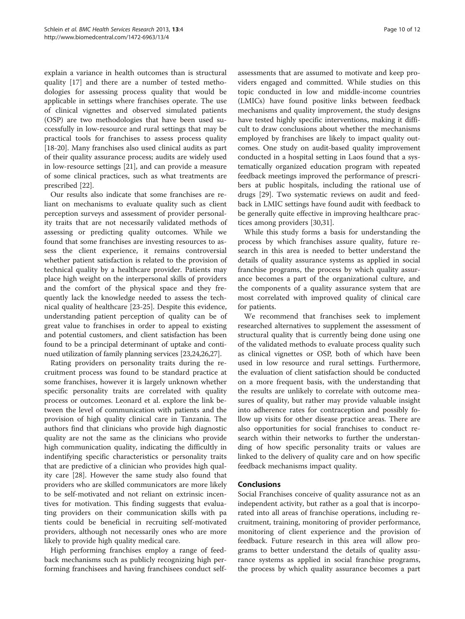explain a variance in health outcomes than is structural quality [\[17](#page-10-0)] and there are a number of tested methodologies for assessing process quality that would be applicable in settings where franchises operate. The use of clinical vignettes and observed simulated patients (OSP) are two methodologies that have been used successfully in low-resource and rural settings that may be practical tools for franchises to assess process quality [[18-20](#page-10-0)]. Many franchises also used clinical audits as part of their quality assurance process; audits are widely used in low-resource settings [\[21\]](#page-10-0), and can provide a measure of some clinical practices, such as what treatments are prescribed [\[22](#page-10-0)].

Our results also indicate that some franchises are reliant on mechanisms to evaluate quality such as client perception surveys and assessment of provider personality traits that are not necessarily validated methods of assessing or predicting quality outcomes. While we found that some franchises are investing resources to assess the client experience, it remains controversial whether patient satisfaction is related to the provision of technical quality by a healthcare provider. Patients may place high weight on the interpersonal skills of providers and the comfort of the physical space and they frequently lack the knowledge needed to assess the technical quality of healthcare [[23](#page-10-0)-[25\]](#page-10-0). Despite this evidence, understanding patient perception of quality can be of great value to franchises in order to appeal to existing and potential customers, and client satisfaction has been found to be a principal determinant of uptake and continued utilization of family planning services [\[23,24,26,27\]](#page-10-0).

Rating providers on personality traits during the recruitment process was found to be standard practice at some franchises, however it is largely unknown whether specific personality traits are correlated with quality process or outcomes. Leonard et al. explore the link between the level of communication with patients and the provision of high quality clinical care in Tanzania. The authors find that clinicians who provide high diagnostic quality are not the same as the clinicians who provide high communication quality, indicating the difficultly in indentifying specific characteristics or personality traits that are predictive of a clinician who provides high quality care [[28\]](#page-11-0). However the same study also found that providers who are skilled communicators are more likely to be self-motivated and not reliant on extrinsic incentives for motivation. This finding suggests that evaluating providers on their communication skills with pa tients could be beneficial in recruiting self-motivated providers, although not necessarily ones who are more likely to provide high quality medical care.

High performing franchises employ a range of feedback mechanisms such as publicly recognizing high performing franchisees and having franchisees conduct self-

assessments that are assumed to motivate and keep providers engaged and committed. While studies on this topic conducted in low and middle-income countries (LMICs) have found positive links between feedback mechanisms and quality improvement, the study designs have tested highly specific interventions, making it difficult to draw conclusions about whether the mechanisms employed by franchises are likely to impact quality outcomes. One study on audit-based quality improvement conducted in a hospital setting in Laos found that a systematically organized education program with repeated feedback meetings improved the performance of prescribers at public hospitals, including the rational use of drugs [[29\]](#page-11-0). Two systematic reviews on audit and feedback in LMIC settings have found audit with feedback to be generally quite effective in improving healthcare practices among providers [[30,31\]](#page-11-0).

While this study forms a basis for understanding the process by which franchises assure quality, future research in this area is needed to better understand the details of quality assurance systems as applied in social franchise programs, the process by which quality assurance becomes a part of the organizational culture, and the components of a quality assurance system that are most correlated with improved quality of clinical care for patients.

We recommend that franchises seek to implement researched alternatives to supplement the assessment of structural quality that is currently being done using one of the validated methods to evaluate process quality such as clinical vignettes or OSP, both of which have been used in low resource and rural settings. Furthermore, the evaluation of client satisfaction should be conducted on a more frequent basis, with the understanding that the results are unlikely to correlate with outcome measures of quality, but rather may provide valuable insight into adherence rates for contraception and possibly follow up visits for other disease practice areas. There are also opportunities for social franchises to conduct research within their networks to further the understanding of how specific personality traits or values are linked to the delivery of quality care and on how specific feedback mechanisms impact quality.

# Conclusions

Social Franchises conceive of quality assurance not as an independent activity, but rather as a goal that is incorporated into all areas of franchise operations, including recruitment, training, monitoring of provider performance, monitoring of client experience and the provision of feedback. Future research in this area will allow programs to better understand the details of quality assurance systems as applied in social franchise programs, the process by which quality assurance becomes a part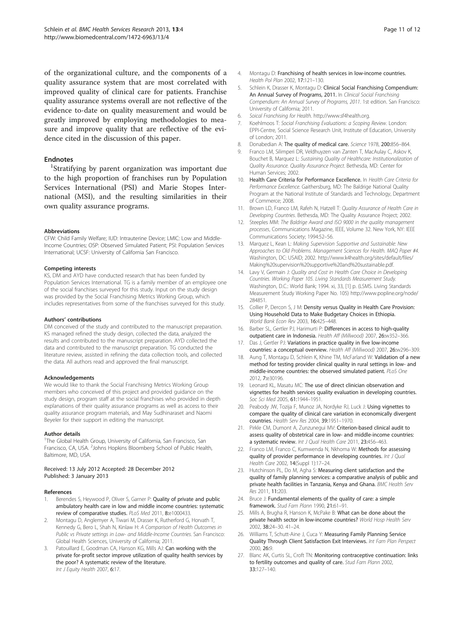<span id="page-10-0"></span>of the organizational culture, and the components of a quality assurance system that are most correlated with improved quality of clinical care for patients. Franchise quality assurance systems overall are not reflective of the evidence to-date on quality measurement and would be greatly improved by employing methodologies to measure and improve quality that are reflective of the evidence cited in the discussion of this paper.

#### Endnotes

<sup>1</sup>Stratifying by parent organization was important due to the high proportion of franchises run by Population Services International (PSI) and Marie Stopes International (MSI), and the resulting similarities in their own quality assurance programs.

#### Abbreviations

CFW: Child Family Welfare; IUD: Intrauterine Device; LMIC: Low and Middle-Income Countries; OSP: Observed Simulated Patient; PSI: Population Services International; UCSF: University of California San Francisco.

#### Competing interests

KS, DM and AYD have conducted research that has been funded by Population Services International. TG is a family member of an employee one of the social franchises surveyed for this study. Input on the study design was provided by the Social Franchising Metrics Working Group, which includes representatives from some of the franchises surveyed for this study.

#### Authors' contributions

DM conceived of the study and contributed to the manuscript preparation. KS managed refined the study design, collected the data, analyzed the results and contributed to the manuscript preparation. AYD collected the data and contributed to the manuscript preparation. TG conducted the literature review, assisted in refining the data collection tools, and collected the data. All authors read and approved the final manuscript.

#### Acknowledgements

We would like to thank the Social Franchising Metrics Working Group members who conceived of this project and provided guidance on the study design, program staff at the social franchises who provided in depth explanations of their quality assurance programs as well as access to their quality assurance program materials, and May Sudhinaraset and Naomi Beyeler for their support in editing the manuscript.

#### Author details

<sup>1</sup>The Global Health Group, University of California, San Francisco, San Francisco, CA, USA. <sup>2</sup>Johns Hopkins Bloomberg School of Public Health, Baltimore, MD, USA.

#### Received: 13 July 2012 Accepted: 28 December 2012 Published: 3 January 2013

#### References

- 1. Berendes S, Heywood P, Oliver S, Garner P: Quality of private and public ambulatory health care in low and middle income countries: systematic review of comparative studies. PLoS Med 2011, 8:e1000433.
- 2. Montagu D, Anglemyer A, Tiwari M, Drasser K, Rutherford G, Horvath T, Kennedy G, Bero L, Shah N, Kinlaw H: A Comparison of Health Outcomes in Public vs Private settings in Low- and Middle-Income Countries. San Francisco: Global Health Sciences, University of California; 2011.
- Patouillard E, Goodman CA, Hanson KG, Mills AJ: Can working with the private for-profit sector improve utilization of quality health services by the poor? A systematic review of the literature. Int J Equity Health 2007, 6:17.
- 4. Montagu D: Franchising of health services in low-income countries. Health Pol Plan 2002, 17:121–130.
- 5. Schlein K, Drasser K, Montagu D: Clinical Social Franchising Compendium: An Annual Survey of Programs, 2011. In Clinical Social Franchising Compendium: An Annual Survey of Programs, 2011. 1st edition. San Francisco: University of California; 2011.
- 6. Soical Franchising for Health. [http://www.sf4health.org.](http://www.sf4health.org)
- 7. Koehlmoos T: Social Franchising Evaluations: a Scoping Review. London: EPPI-Centre, Social Science Research Unit, Institute of Education, University of London; 2011.
- 8. Donabedian A: The quality of medical care. Science 1978, 200:856-864.
- 9. Franco LM, Silimperi DR, Veldhuyzen van Zanten T, MacAulay C, Askov K, Bouchet B, Marquez L: Sustaining Quality of Healthcare: Institutionalization of Quality Assurance. Quality Assurance Project. Bethesda, MD: Center for Human Services; 2002.
- 10. Health Care Criteria for Performance Excellence. In Health Care Criteria for Performance Excellence. Gaithersburg, MD: The Baldrige National Quality Program at the National Institute of Standards and Technology, Department of Commerce; 2008.
- 11. Brown LD, Franco LM, Rafeh N, Hatzell T: Quality Assurance of Health Care in Developing Countries. Bethesda, MD: The Quality Assurance Project; 2002.
- 12. Steeples MM: The Baldrige Award and ISO 9000 in the quality management processes, Communications Magazine, IEEE, Volume 32. New York, NY: IEEE Communications Society; 1994:52–56.
- 13. Marquez L, Kean L: Making Supervision Supportive and Sustainable: New Approaches to Old Problems. Management Sciences for Health. MAQ Paper #4. Washington, DC: USAID; 2002. [http://www.k4health.org/sites/default/files/](http://www.k4health.org/sites/default/files/Making%20supervision%20supportive%20and%20sustainable.pdf) [Making%20supervision%20supportive%20and%20sustainable.pdf.](http://www.k4health.org/sites/default/files/Making%20supervision%20supportive%20and%20sustainable.pdf)
- 14. Lavy V, Germain J: Quality and Cost in Health Care Choice in Developing Countries. Working Paper 105. Living Standards Measurement Study. Washington, D.C.: World Bank; 1994. xi, 33, [1] p. (LSMS. Living Standards Measurement Study Working Paper No. 105) [http://www.popline.org/node/](http://www.popline.org/node/284851) [284851](http://www.popline.org/node/284851).
- 15. Collier P, Dercon S, J M: Density versus Quality in Health Care Provision: Using Household Data to Make Budgetary Choices in Ethiopia. World Bank Econ Rev 2003, 16:425–448.
- 16. Barber SL, Gertler PJ, Harimurti P: Differences in access to high-quality outpatient care in Indonesia. Health Aff (Millwood) 2007, 26:w352–366.
- 17. Das J, Gertler PJ: Variations in practice quality in five low-income countries: a conceptual overview. Health Aff (Millwood) 2007, 26:w296–309.
- 18. Aung T, Montagu D, Schlein K, Khine TM, McFarland W: Validation of a new method for testing provider clinical quality in rural settings in low- and middle-income countries: the observed simulated patient. PLoS One 2012, 7:e30196.
- 19. Leonard KL, Masatu MC: The use of direct clinician observation and vignettes for health services quality evaluation in developing countries. Soc Sci Med 2005, 61:1944–1951.
- 20. Peabody JW, Tozija F, Munoz JA, Nordyke RJ, Luck J: Using vignettes to compare the quality of clinical care variation in economically divergent countries. Health Serv Res 2004, 39:1951–1970.
- 21. Pirkle CM, Dumont A, Zunzunegui MV: Criterion-based clinical audit to assess quality of obstetrical care in low- and middle-income countries: a systematic review. Int J Qual Health Care 2011, 23:456-463.
- 22. Franco LM, Franco C, Kumwenda N, Nkhoma W: Methods for assessing quality of provider performance in developing countries. Int J Qual Health Care 2002, 14(Suppl 1):17–24.
- 23. Hutchinson PL, Do M, Agha S: Measuring client satisfaction and the quality of family planning services: a comparative analysis of public and private health facilities in Tanzania, Kenya and Ghana. BMC Health Serv Res 2011, 11:203.
- 24. Bruce J: Fundamental elements of the quality of care: a simple framework. Stud Fam Plann 1990, 21:61–91.
- 25. Mills A, Brugha R, Hanson K, McPake B: What can be done about the private health sector in low-income countries? World Hosp Health Serv 2002, 38:24–30. 41–24.
- 26. Williams T, Schutt-Aine J, Cuca Y: Measuring Family Planning Service Quality Through Client Satisfaction Exit Interviews. Int Fam Plan Perspect 2000, 26:9.
- 27. Blanc AK, Curtis SL, Croft TN: Monitoring contraceptive continuation: links to fertility outcomes and quality of care. Stud Fam Plann 2002, 33:127–140.